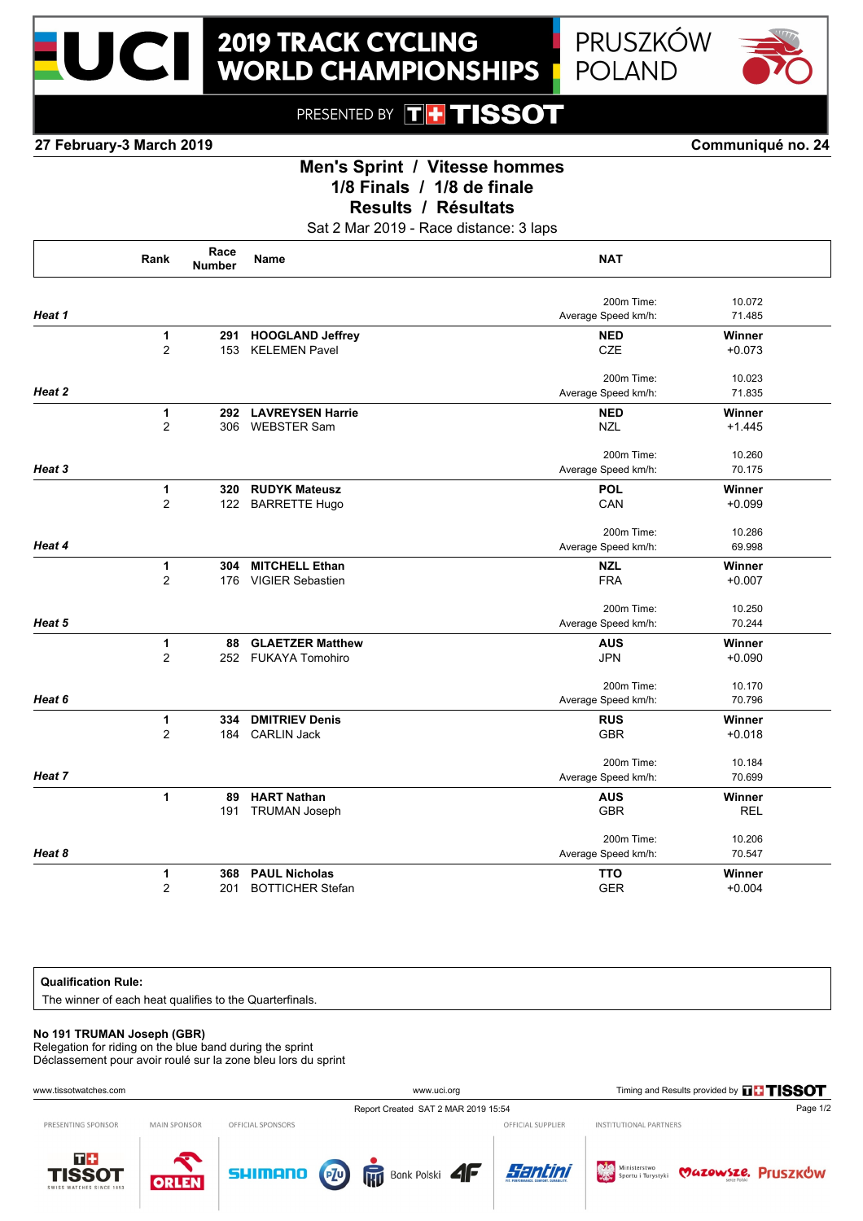



PRESENTED BY **TH TISSOT** 

**27 February-3 March 2019 Communiqué no. 24**

# **Men's Sprint / Vitesse hommes 1/8 Finals / 1/8 de finale**

**Results / Résultats**

Sat 2 Mar 2019 - Race distance: 3 laps

|                                      | Rank           | Race<br><b>Number</b> | <b>Name</b>             | <b>NAT</b>          |            |
|--------------------------------------|----------------|-----------------------|-------------------------|---------------------|------------|
|                                      |                |                       |                         | 200m Time:          | 10.072     |
| Heat 1                               |                |                       |                         | Average Speed km/h: | 71.485     |
|                                      | 1              | 291                   | <b>HOOGLAND Jeffrey</b> | <b>NED</b>          | Winner     |
|                                      | $\overline{2}$ | 153                   | <b>KELEMEN Pavel</b>    | <b>CZE</b>          | $+0.073$   |
|                                      |                |                       |                         | 200m Time:          | 10.023     |
| Heat 2                               |                |                       |                         | Average Speed km/h: | 71.835     |
|                                      | 1              | 292                   | <b>LAVREYSEN Harrie</b> | <b>NED</b>          | Winner     |
|                                      | $\overline{2}$ | 306                   | <b>WEBSTER Sam</b>      | <b>NZL</b>          | $+1.445$   |
|                                      |                |                       |                         | 200m Time:          | 10.260     |
|                                      |                |                       |                         | Average Speed km/h: | 70.175     |
|                                      | 1              | 320                   | <b>RUDYK Mateusz</b>    | <b>POL</b>          | Winner     |
|                                      | $\overline{2}$ | 122                   | <b>BARRETTE Hugo</b>    | CAN                 | $+0.099$   |
|                                      |                |                       |                         | 200m Time:          | 10.286     |
| Heat 4                               |                |                       |                         | Average Speed km/h: | 69.998     |
|                                      | $\mathbf{1}$   | 304                   | <b>MITCHELL Ethan</b>   | <b>NZL</b>          | Winner     |
|                                      | $\overline{2}$ | 176                   | <b>VIGIER Sebastien</b> | <b>FRA</b>          | $+0.007$   |
|                                      |                |                       |                         | 200m Time:          | 10.250     |
| Heat 5                               |                |                       |                         | Average Speed km/h: | 70.244     |
|                                      | 1              | 88                    | <b>GLAETZER Matthew</b> | <b>AUS</b>          | Winner     |
|                                      | $\overline{2}$ | 252                   | <b>FUKAYA Tomohiro</b>  | <b>JPN</b>          | $+0.090$   |
|                                      |                |                       |                         | 200m Time:          | 10.170     |
| Heat 3<br>Heat 6<br>Heat 7<br>Heat 8 |                |                       |                         | Average Speed km/h: | 70.796     |
|                                      | 1              | 334                   | <b>DMITRIEV Denis</b>   | <b>RUS</b>          | Winner     |
|                                      | $\overline{2}$ | 184                   | <b>CARLIN Jack</b>      | <b>GBR</b>          | $+0.018$   |
|                                      |                |                       |                         | 200m Time:          | 10.184     |
|                                      |                |                       |                         | Average Speed km/h: | 70.699     |
|                                      | 1              | 89                    | <b>HART Nathan</b>      | <b>AUS</b>          | Winner     |
|                                      |                | 191                   | <b>TRUMAN Joseph</b>    | <b>GBR</b>          | <b>REL</b> |
|                                      |                |                       |                         | 200m Time:          | 10.206     |
|                                      |                |                       |                         | Average Speed km/h: | 70.547     |
|                                      | 1              | 368                   | <b>PAUL Nicholas</b>    | <b>TTO</b>          | Winner     |
|                                      | $\overline{2}$ | 201                   | <b>BOTTICHER Stefan</b> | <b>GER</b>          | $+0.004$   |
|                                      |                |                       |                         |                     |            |

### **Qualification Rule:**

The winner of each heat qualifies to the Quarterfinals.

#### **No 191 TRUMAN Joseph (GBR)**

Relegation for riding on the blue band during the sprint Déclassement pour avoir roulé sur la zone bleu lors du sprint

| www.tissotwatches.com                             |                     |                   | www.uci.org                                       |                                     | Timing and Results provided by THISSOT  |                    |
|---------------------------------------------------|---------------------|-------------------|---------------------------------------------------|-------------------------------------|-----------------------------------------|--------------------|
|                                                   |                     |                   | Report Created SAT 2 MAR 2019 15:54               |                                     |                                         | Page 1/2           |
| PRESENTING SPONSOR                                | <b>MAIN SPONSOR</b> | OFFICIAL SPONSORS |                                                   | OFFICIAL SUPPLIER                   | INSTITUTIONAL PARTNERS                  |                    |
| $T+$<br><b>TISSOT</b><br>SWISS WATCHES SINCE 1853 | <b>ORLEN</b>        | SHIMANO           | $\overline{P}$<br><b>RD</b> Bank Polski <b>4F</b> | Santini<br><b>FIT. PERFORMANCE.</b> | Ministerstwo<br>West Sportu i Turystyki | MAZOWSZE. Pruszków |